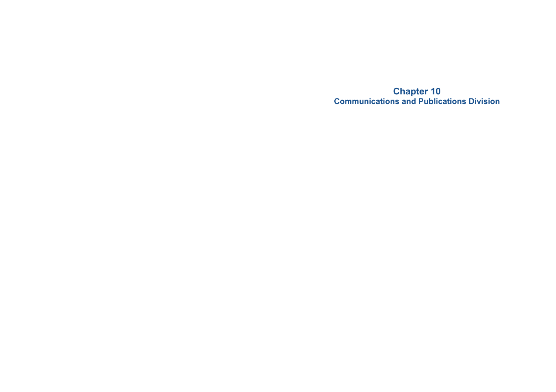**Chapter 10 Communications and Publications Division**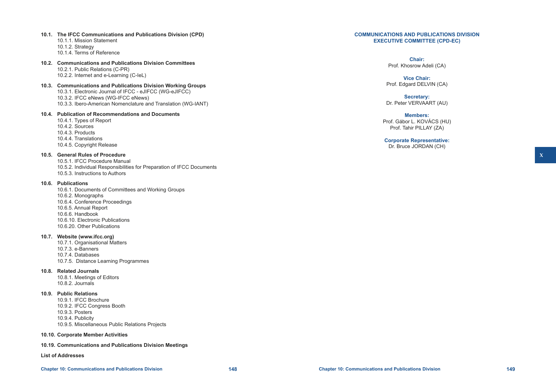# **X**

## **COMMUNICATIONS AND PUBLICATIONS DIVISION EXECUTIVE COMMITTEE (CPD-EC)**

## **Chair:** Prof. Khosrow Adeli (CA)

**Vice Chair:** Prof. Edgard DELVIN (CA)

**Secretary:** Dr. Peter VERVAART (AU)

**Members:** Prof. Gábor L. KOVÁCS (HU) Prof. Tahir PILLAY (ZA)

**Corporate Representative:** Dr. Bruce JORDAN (CH)

## **10.1. The IFCC Communications and Publications Division (CPD)**

- 10.1.1. Mission Statement
- 10.1.2. Strategy
- 10.1.4. Terms of Reference
- **10.2. Communications and Publications Division Committees** 10.2.1. Public Relations (C-PR)

10.2.2. Internet and e-Learning (C-IeL)

**10.3. Communications and Publications Division Working Groups** 10.3.1. Electronic Journal of IFCC - eJIFCC (WG-eJIFCC) 10.3.2. IFCC eNews (WG-IFCC eNews) 10.3.3. Ibero-American Nomenclature and Translation (WG-IANT)

# **10.4. Publication of Recommendations and Documents**

10.4.1. Types of Report 10.4.2. Sources 10.4.3. Products 10.4.4. Translations 10.4.5. Copyright Release

# **10.5. General Rules of Procedure**

- 10.5.1. IFCC Procedure Manual
- 10.5.2. Individual Responsibilities for Preparation of IFCC Documents 10.5.3. Instructions to Authors

## **10.6. Publications**

10.6.1. Documents of Committees and Working Groups 10.6.2. Monographs 10.6.4. Conference Proceedings 10.6.5. Annual Report 10.6.6. Handbook 10.6.10. Electronic Publications 10.6.20. Other Publications

## **10.7. Website (www.ifcc.org)**

- 10.7.1. Organisational Matters 10.7.3. e-Banners 10.7.4. Databases
- 10.7.5. Distance Learning Programmes

## **10.8. Related Journals**

10.8.1. Meetings of Editors 10.8.2. Journals

## **10.9. Public Relations**

- 10.9.1. IFCC Brochure
- 10.9.2. IFCC Congress Booth
- 10.9.3. Posters 10.9.4. Publicity
- 
- 10.9.5. Miscellaneous Public Relations Projects
- **10.10. Corporate Member Activities**

## **10.19. Communications and Publications Division Meetings**

**List of Addresses**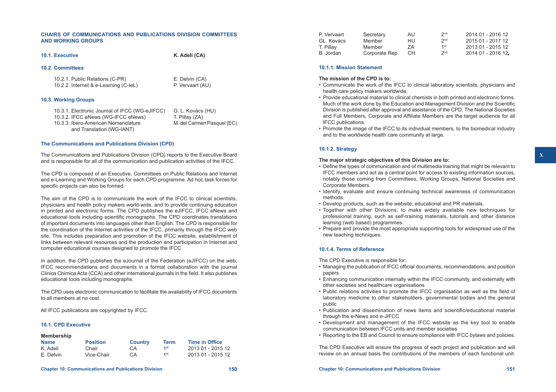## **CHAIRS OF COMMUNICATIONS AND PUBLICATIONS DIVISION COMMITTEES AND WORKING GROUPS**

**10.1. Executive K. Adeli (CA)**

## **10.2. Committees**

10.2.1. Public Relations (C-PR) E. Delvin (CA)<br>10.2.2. Internet & e-Learning (C-leL) P. Vervaart (AU) 10.2.2. Internet & e-Learning (C-IeL)

## **10.3. Working Groups**

| 10.3.1. Electronic Journal of IFCC (WG-eJIFCC) | G. L. Kovács (HU)          |
|------------------------------------------------|----------------------------|
| 10.3.2. IFCC eNews (WG-IFCC eNews)             | T. Pillay (ZA)             |
| 10.3.3. Ibero-American Nomenclature            | M. del Carmen Pasquel (EC) |
| and Translation (WG-IANT)                      |                            |

## **The Communications and Publications Division (CPD)**

The Communications and Publications Division (CPD) reports to the Executive Board and is responsible for all of the communication and publication activities of the IFCC.

The CPD is composed of an Executive, Committees on Public Relations and Internet and e-Learning and Working Groups for each CPD programme. Ad hoc task forces for specific projects can also be formed.

The aim of the CPD is to communicate the work of the IFCC to clinical scientists, physicians and health policy makers world-wide, and to provide continuing education in printed and electronic forms. The CPD publishes the eJIFCC, IFCC eNews and educational tools including scientific monographs. The CPD coordinates translations of important documents into languages other than English. The CPD is responsible for the coordination of the Internet activities of the IFCC, primarily through the IFCC web site. This includes preparation and promotion of the IFCC website, establishment of links between relevant resources and the production and participation in Internet and computer educational courses designed to promote the IFCC.

In addition, the CPD publishes the eJournal of the Federation (eJIFCC) on the web, IFCC recommendations and documents in a formal collaboration with the journal Clinica Chimica Acta (CCA) and other international journals in the field. It also publishes educational tools including monographs.

The CPD uses electronic communication to facilitate the availability of IFCC documents to all members at no cost.

All IFCC publications are copyrighted by IFCC.

## **10.1. CPD Executive**

| Membership  |                 |                |             |                       |
|-------------|-----------------|----------------|-------------|-----------------------|
| <b>Name</b> | <b>Position</b> | <b>Country</b> | <b>Term</b> | <b>Time in Office</b> |
| K. Adeli    | Chair           | CA             | 1st         | 2013 01 - 2015 12     |
| E. Delvin   | Vice-Chair      | CА             | 1st         | 2013 01 - 2015 12     |

| Secretary      | AU  | 2 <sub>nd</sub> | 2014 01 - 2016 12 |
|----------------|-----|-----------------|-------------------|
| Member         | HU. | 2 <sub>nd</sub> | 2015 01 - 2017 12 |
| Member         | 7A  | 1st             | 2013 01 - 2015 12 |
| Corporate Rep. | CH. | 2 <sub>nd</sub> | 2014 01 - 2016 12 |
|                |     |                 |                   |

## **10.1.1. Mission Statement**

- **The mission of the CPD is to:**
- • Communicate the work of the IFCC to clinical laboratory scientists, physicians and health care policy makers worldwide.
- • Provide educational material to clinical chemists in both printed and electronic forms. Much of the work done by the Education and Management Division and the Scientific Division is published after approval and assistance of the CPD. The National Societies and Full Members, Corporate and Affiliate Members are the target audience for all IFCC publications.
- • Promote the image of the IFCC to its individual members, to the biomedical industry and to the worldwide health care community at large.

## **10.1.2. Strategy**

## **The major strategic objectives of this Division are to:**

- Define the types of communication and of multimedia training that might be relevant to IFCC members and act as a central point for access to existing information sources, notably those coming from Committees, Working Groups, National Societies and Corporate Members.
- • Identify, evaluate and ensure continuing technical awareness of communication methods.
- Develop products, such as the website, educational and PR materials.
- Together with other Divisions, to make widely available new techniques for professional training, such as self-training materials, tutorials and other distance learning (web based) programmes.
- Prepare and provide the most appropriate supporting tools for widespread use of the new teaching techniques.

## **10.1.4. Terms of Reference**

The CPD Executive is responsible for:

- • Managing the publication of IFCC official documents, recommendations, and position papers
- • Enhancing communication internally within the IFCC community, and externally with other societies and healthcare organisations
- • Public relations activities to promote the IFCC organisation as well as the field of laboratory medicine to other stakeholders, governmental bodies and the general public
- • Publication and dissemination of news items and scientific/educational material through the e-News and e-JIFCC
- • Development and management of the IFCC website as the key tool to enable communication between IFCC units and member societies
- • Reporting to the EB and Council to ensure compliance with IFCC bylaws and policies.

The CPD Executive will ensure the progress of each project and publication and will review on an annual basis the contributions of the members of each functional unit.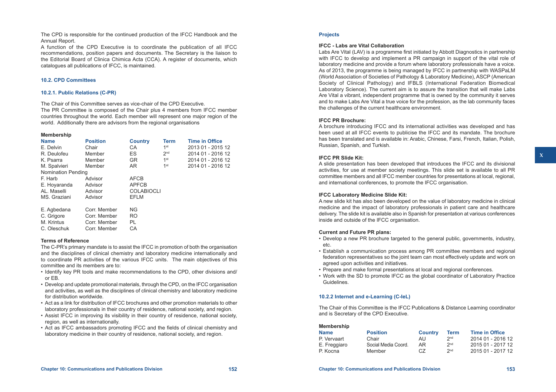The CPD is responsible for the continued production of the IFCC Handbook and the Annual Report.

A function of the CPD Executive is to coordinate the publication of all IFCC recommendations, position papers and documents. The Secretary is the liaison to the Editorial Board of Clinica Chimica Acta (CCA). A register of documents, which catalogues all publications of IFCC, is maintained.

## **10.2. CPD Committees**

## **10.2.1. Public Relations (C-PR)**

The Chair of this Committee serves as vice-chair of the CPD Executive. The PR Committee is composed of the Chair plus 4 members from IFCC member countries throughout the world. Each member will represent one major region of the world. Additionally there are advisors from the regional organisations

#### **Membership**

| <b>Name</b>               | <b>Position</b> | <b>Country</b>    | <b>Term</b>     | <b>Time in Office</b> |
|---------------------------|-----------------|-------------------|-----------------|-----------------------|
| E. Delvin                 | Chair           | CA                | 1 <sup>st</sup> | 2013 01 - 2015 12     |
| R. Deulofeu               | Member          | ES.               | 2 <sub>nd</sub> | 2014 01 - 2016 12     |
| K. Psarra                 | Member          | <b>GR</b>         | 1st             | 2014 01 - 2016 12     |
| M. Spalvieri              | Member          | AR.               | 1st             | 2014 01 - 2016 12     |
| <b>Nomination Pending</b> |                 |                   |                 |                       |
| F. Harb                   | Advisor         | <b>AFCB</b>       |                 |                       |
| E. Hoyaranda              | Advisor         | <b>APFCB</b>      |                 |                       |
| AL. Maselli               | Advisor         | <b>COLABIOCLI</b> |                 |                       |
| MS. Graziani              | Advisor         | <b>EFLM</b>       |                 |                       |
|                           |                 |                   |                 |                       |
| E. Agbedana               | Corr. Member    | <b>NG</b>         |                 |                       |
| C. Grigore                | Corr. Member    | RO.               |                 |                       |
| M. Krintus                | Corr. Member    | <b>PL</b>         |                 |                       |
| C. Oleschuk               | Corr. Member    | CA                |                 |                       |

## **Terms of Reference**

The C-PR's primary mandate is to assist the IFCC in promotion of both the organisation and the disciplines of clinical chemistry and laboratory medicine internationally and to coordinate PR activities of the various IFCC units. The main objectives of this committee and its members are to:

- • Identify key PR tools and make recommendations to the CPD, other divisions and/ or EB.
- • Develop and update promotional materials, through the CPD, on the IFCC organisation and activities, as well as the disciplines of clinical chemistry and laboratory medicine for distribution worldwide.
- • Act as a link for distribution of IFCC brochures and other promotion materials to other laboratory professionals in their country of residence, national society, and region.
- • Assist IFCC in improving its visibility in their country of residence, national society, region, as well as internationally.
- • Act as IFCC ambassadors promoting IFCC and the fields of clinical chemistry and laboratory medicine in their country of residence, national society, and region.

## **Projects**

## **IFCC - Labs are Vital Collaboration**

Labs Are Vital (LAV) is a programme first initiated by Abbott Diagnostics in partnership with IFCC to develop and implement a PR campaign in support of the vital role of laboratory medicine and provide a forum where laboratory professionals have a voice. As of 2013, the programme is being managed by IFCC in partnership with WASPaLM (World Association of Societies of Pathology & Laboratory Medicine), ASCP (American Society of Clinical Pathology) and IFBLS (International Federation Biomedical Laboratory Science). The current aim is to assure the transition that will make Labs Are Vital a vibrant, independent programme that is owned by the community it serves and to make Labs Are Vital a true voice for the profession, as the lab community faces the challenges of the current healthcare environment.

## **IFCC PR Brochure:**

A brochure introducing IFCC and its international activities was developed and has been used at all IFCC events to publicise the IFCC and its mandate. The brochure has been translated and is available in: Arabic, Chinese, Farsi, French, Italian, Polish, Russian, Spanish, and Turkish.

## **IFCC PR Slide Kit:**

A slide presentation has been developed that introduces the IFCC and its divisional activities, for use at member society meetings. This slide set is available to all PR committee members and all IFCC member countries for presentations at local, regional, and international conferences, to promote the IFCC organisation.

## **IFCC Laboratory Medicine Slide Kit:**

A new slide kit has also been developed on the value of laboratory medicine in clinical medicine and the impact of laboratory professionals in patient care and healthcare delivery. The slide kit is available also in Spanish for presentation at various conferences inside and outside of the IFCC organisation.

## **Current and Future PR plans:**

- • Develop a new PR brochure targeted to the general public, governments, industry, etc.
- • Establish a communication process among PR committee members and regional federation representatives so the joint team can most effectively update and work on agreed upon activities and initiatives.
- Prepare and make formal presentations at local and regional conferences.
- • Work with the SD to promote IFCC as the global coordinator of Laboratory Practice Guidelines.

## **10.2.2 Internet and e-Learning (C-IeL)**

The Chair of this Committee is the IFCC Publications & Distance Learning coordinator and is Secretary of the CPD Executive.

| <b>Membership</b> |                     |                |                 |                       |
|-------------------|---------------------|----------------|-----------------|-----------------------|
| <b>Name</b>       | <b>Position</b>     | <b>Country</b> | <b>Term</b>     | <b>Time in Office</b> |
| P. Vervaart       | Chair               | AU             | 2 <sub>nd</sub> | 2014 01 - 2016 12     |
| E. Freggiaro      | Social Media Coord. | AR.            | 2 <sub>nd</sub> | 2015 01 - 2017 12     |
| P. Kocna          | Member              | CZ.            | 2 <sub>nd</sub> | 2015 01 - 2017 12     |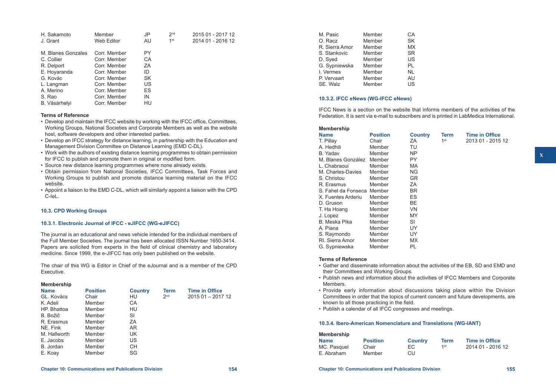| H. Sakamoto        | Member       | JP        | 2 <sub>nd</sub> | 2015 01 - 2017 12 |
|--------------------|--------------|-----------|-----------------|-------------------|
| J. Grant           | Web Editor   | AU        | 1 <sup>st</sup> | 2014 01 - 2016 12 |
|                    |              |           |                 |                   |
| M. Blanes Gonzales | Corr. Member | PY        |                 |                   |
| C. Collier         | Corr. Member | СA        |                 |                   |
| R. Delport         | Corr. Member | ΖA        |                 |                   |
| E. Hoyaranda       | Corr. Member | ID        |                 |                   |
| G. Kovác           | Corr. Member | <b>SK</b> |                 |                   |
| L. Langman         | Corr. Member | US        |                 |                   |
| A. Merino          | Corr. Member | ES        |                 |                   |
| S. Rao             | Corr. Member | IN        |                 |                   |
| B. Vásárhelyi      | Corr. Member | HU        |                 |                   |
|                    |              |           |                 |                   |

## **Terms of Reference**

- Develop and maintain the IFCC website by working with the IFCC office, Committees, Working Groups, National Societies and Corporate Members as well as the website host, software developers and other interested parties.
- Develop an IFCC strategy for distance learning, in partnership with the Education and Management Division Committee on Distance Learning (EMD C-DL).
- • Work with the authors of existing distance learning programmes to obtain permission for IFCC to publish and promote them in original or modified form.
- Source new distance learning programmes where none already exists.
- • Obtain permission from National Societies, IFCC Committees, Task Forces and Working Groups to publish and promote distance learning material on the IFCC website.
- • Appoint a liaison to the EMD C-DL, which will similarly appoint a liaison with the CPD C-IeL.

## **10.3. CPD Working Groups**

## **10.3.1. Electronic Journal of IFCC - eJIFCC (WG-eJIFCC)**

The journal is an educational and news vehicle intended for the individual members of the Full Member Societies. The journal has been allocated ISSN Number 1650-3414. Papers are solicited from experts in the field of clinical chemistry and laboratory medicine. Since 1999, the e-JIFCC has only been published on the website.

The chair of this WG is Editor in Chief of the eJournal and is a member of the CPD Executive.

#### **Membership**

| <b>Name</b>  | <b>Position</b> | <b>Country</b> | Term            | <b>Time in Office</b> |
|--------------|-----------------|----------------|-----------------|-----------------------|
| GL. Kovács   | Chair           | HU             | 2 <sub>nd</sub> | 2015 01 - 2017 12     |
| K. Adeli     | Member          | СA             |                 |                       |
| HP. Bhattoa  | Member          | HU             |                 |                       |
| B. Božič     | Member          | SI             |                 |                       |
| R. Erasmus   | Member          | ΖA             |                 |                       |
| NE. Fink     | Member          | AR.            |                 |                       |
| M. Hallworth | Member          | UK             |                 |                       |
| E. Jacobs    | Member          | US             |                 |                       |
| B. Jordan    | Member          | CН             |                 |                       |
| E. Koav      | Member          | SG             |                 |                       |

| M. Pasic       | Member | СA        |
|----------------|--------|-----------|
| O. Racz        | Member | <b>SK</b> |
| R. Sierra Amor | Member | <b>MX</b> |
| S. Stankovic   | Member | <b>SR</b> |
| D. Sved        | Member | US        |
| G. Sypniewska  | Member | PL        |
| I. Vermes      | Member | ΝI        |
| P. Vervaart    | Member | AU        |
| SE. Walz       | Member | US        |
|                |        |           |

## **10.3.2. IFCC eNews (WG-IFCC eNews)**

IFCC News is a section on the website that informs members of the activities of the Federation. It is sent via e-mail to subscribers and is printed in LabMedica International.

| <b>Membership</b>          |                 |                |                 |                       |
|----------------------------|-----------------|----------------|-----------------|-----------------------|
| <b>Name</b>                | <b>Position</b> | <b>Country</b> | Term            | <b>Time in Office</b> |
| T. Pillay                  | Chair           | ZA             | 1 <sup>st</sup> | 2013 01 - 2015 12     |
| A. Hedhili                 | Member          | TU             |                 |                       |
| B. Yadav                   | Member          | <b>NP</b>      |                 |                       |
| M. Blanes González         | Member          | PY             |                 |                       |
| L. Chabraoui               | Member          | MA.            |                 |                       |
| M. Charles-Davies          | Member          | ΝG             |                 |                       |
| S. Christou                | Member          | GR             |                 |                       |
| R. Erasmus                 | Member          | ΖA             |                 |                       |
| S. Fahel da Fonseca Member |                 | BR.            |                 |                       |
| X. Fuentes Arderiu         | Member          | ES             |                 |                       |
| D. Gruson                  | Member          | <b>BE</b>      |                 |                       |
| T. Ha Hoang                | Member          | VN             |                 |                       |
| J. Lopez                   | Member          | MY             |                 |                       |
| B. Meska Pika              | Member          | SI             |                 |                       |
| A. Piana                   | Member          | UY.            |                 |                       |
| S. Raymondo                | Member          | UY.            |                 |                       |
| RI. Sierra Amor            | Member          | MX.            |                 |                       |
| G. Sypniewska              | Member          | PL             |                 |                       |

## **Terms of Reference**

- • Gather and disseminate information about the activities of the EB, SD and EMD and their Committees and Working Groups.
- Publish news and information about the activities of IFCC Members and Corporate Members.
- • Provide early information about discussions taking place within the Division Committees in order that the topics of current concern and future developments, are known to all those practicing in the field.
- • Publish a calendar of all IFCC congresses and meetings.

#### **10.3.4. Ibero-American Nomenclature and Translations (WG-IANT)**

| <b>Membership</b> |                 |                |             |                       |
|-------------------|-----------------|----------------|-------------|-----------------------|
| <b>Name</b>       | <b>Position</b> | <b>Country</b> | <b>Term</b> | <b>Time in Office</b> |
| MC. Pasquel       | Chair           | EC.            | 1st         | 2014 01 - 2016 12     |
| E. Abraham        | Member          | CU             |             |                       |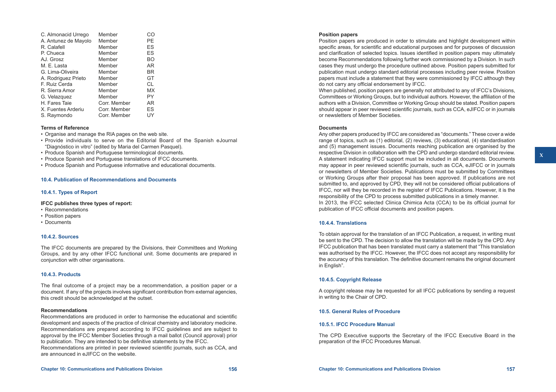| C. Almonacid Urrego  | Member       | CO |
|----------------------|--------------|----|
| A. Antunez de Mayolo | Member       | PЕ |
| R. Calafell          | Member       | ES |
| P. Chueca            | Member       | ES |
| AJ. Grosz            | Member       | BΟ |
| M. E. Lasta          | Member       | AR |
| G. Lima-Oliveira     | Member       | BR |
| A. Rodriguez Prieto  | Member       | GT |
| F. Ruiz Cerda        | Member       | СL |
| R. Sierra Amor       | Member       | МX |
| G. Velazquez         | Member       | PΥ |
| H. Fares Taie        | Corr. Member | AR |
| X. Fuentes Arderiu   | Corr. Member | ES |
| S. Raymondo          | Corr. Member | UY |

## **Terms of Reference**

- • Organise and manage the RIA pages on the web site.
- • Provide individuals to serve on the Editorial Board of the Spanish eJournal "Diagnóstico in vitro" (edited by Maria del Carmen Pasquel).
- Produce Spanish and Portuguese terminological documents.
- Produce Spanish and Portuguese translations of IFCC documents.
- Produce Spanish and Portuguese informative and educational documents.

## **10.4. Publication of Recommendations and Documents**

#### **10.4.1. Types of Report**

## **IFCC publishes three types of report:**

- Recommendations
- Position papers
- Documents

## **10.4.2. Sources**

The IFCC documents are prepared by the Divisions, their Committees and Working Groups, and by any other IFCC functional unit. Some documents are prepared in conjunction with other organisations.

## **10.4.3. Products**

The final outcome of a project may be a recommendation, a position paper or a document. If any of the projects involves significant contribution from external agencies, this credit should be acknowledged at the outset.

## **Recommendations**

Recommendations are produced in order to harmonise the educational and scientific development and aspects of the practice of clinical chemistry and laboratory medicine. Recommendations are prepared according to IFCC guidelines and are subject to approval by the IFCC Member Societies through a mail ballot (Council approval) prior to publication. They are intended to be definitive statements by the IFCC. Recommendations are printed in peer reviewed scientific journals, such as CCA, and are announced in eJIFCC on the website.

## **Position papers**

Position papers are produced in order to stimulate and highlight development within specific areas, for scientific and educational purposes and for purposes of discussion and clarification of selected topics. Issues identified in position papers may ultimately become Recommendations following further work commissioned by a Division. In such cases they must undergo the procedure outlined above. Position papers submitted for publication must undergo standard editorial processes including peer review. Position papers must include a statement that they were commissioned by IFCC although they do not carry any official endorsement by IFCC.

When published, position papers are generally not attributed to any of IFCC's Divisions, Committees or Working Groups, but to individual authors. However, the affiliation of the authors with a Division, Committee or Working Group should be stated. Position papers should appear in peer reviewed scientific journals, such as CCA, eJIFCC or in journals or newsletters of Member Societies.

#### **Documents**

Any other papers produced by IFCC are considered as "documents." These cover a wide range of topics, such as (1) editorial, (2) reviews, (3) educational, (4) standardisation and (5) management issues. Documents reaching publication are organised by the respective Division in collaboration with the CPD and undergo standard editorial review. A statement indicating IFCC support must be included in all documents. Documents may appear in peer reviewed scientific journals, such as CCA, eJIFCC or in journals or newsletters of Member Societies. Publications must be submitted by Committees or Working Groups after their proposal has been approved. If publications are not submitted to, and approved by CPD, they will not be considered official publications of IFCC, nor will they be recorded in the register of IFCC Publications. However, it is the responsibility of the CPD to process submitted publications in a timely manner. In 2013, the IFCC selected Clinica Chimica Acta (CCA) to be its official journal for publication of IFCC official documents and position papers.

## **10.4.4. Translations**

To obtain approval for the translation of an IFCC Publication, a request, in writing must be sent to the CPD. The decision to allow the translation will be made by the CPD. Any IFCC publication that has been translated must carry a statement that "This translation was authorised by the IFCC. However, the IFCC does not accept any responsibility for the accuracy of this translation. The definitive document remains the original document in English".

## **10.4.5. Copyright Release**

A copyright release may be requested for all IFCC publications by sending a request in writing to the Chair of CPD.

## **10.5. General Rules of Procedure**

## **10.5.1. IFCC Procedure Manual**

The CPD Executive supports the Secretary of the IFCC Executive Board in the preparation of the IFCC Procedures Manual.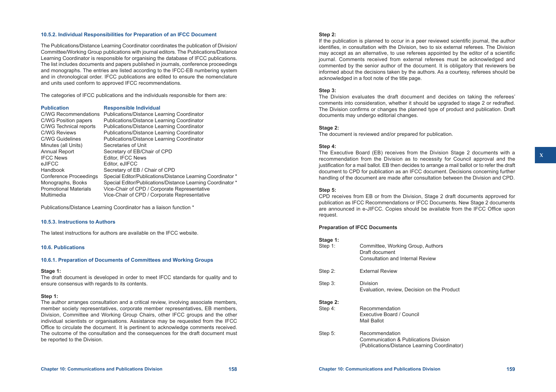## **10.5.2. Individual Responsibilities for Preparation of an IFCC Document**

The Publications/Distance Learning Coordinator coordinates the publication of Division/ Committee/Working Group publications with journal editors. The Publications/Distance Learning Coordinator is responsible for organising the database of IFCC publications. The list includes documents and papers published in journals, conference proceedings and monographs. The entries are listed according to the IFCC-EB numbering system and in chronological order. IFCC publications are edited to ensure the nomenclature and units used conform to approved IFCC recommendations.

The categories of IFCC publications and the individuals responsible for them are:

## **Publication Responsible Individual**

| <b>C/WG Recommendations</b>  | Publications/Distance Learning Coordinator                  |
|------------------------------|-------------------------------------------------------------|
| C/WG Position papers         | Publications/Distance Learning Coordinator                  |
| C/WG Technical reports       | Publications/Distance Learning Coordinator                  |
| <b>C/WG Reviews</b>          | Publications/Distance Learning Coordinator                  |
| <b>C/WG Guidelines</b>       | Publications/Distance Learning Coordinator                  |
| Minutes (all Units)          | Secretaries of Unit                                         |
| <b>Annual Report</b>         | Secretary of EB/Chair of CPD                                |
| <b>IFCC News</b>             | Editor, IFCC News                                           |
| eJIFCC                       | Editor, eJIFCC                                              |
| Handbook                     | Secretary of EB / Chair of CPD                              |
| Conference Proceedings       | Special Editor/Publications/Distance Learning Coordinator * |
| Monographs, Books            | Special Editor/Publications/Distance Learning Coordinator * |
| <b>Promotional Materials</b> | Vice-Chair of CPD / Corporate Representative                |
| Multimedia                   | Vice-Chair of CPD / Corporate Representative                |
|                              |                                                             |

Publications/Distance Learning Coordinator has a liaison function \*

#### **10.5.3. Instructions to Authors**

The latest instructions for authors are available on the IFCC website.

## **10.6. Publications**

## **10.6.1. Preparation of Documents of Committees and Working Groups**

#### **Stage 1:**

The draft document is developed in order to meet IFCC standards for quality and to ensure consensus with regards to its contents.

## **Step 1:**

The author arranges consultation and a critical review, involving associate members, member society representatives, corporate member representatives, EB members, Division, Committee and Working Group Chairs, other IFCC groups and the other individual scientists or organisations. Assistance may be requested from the IFCC Office to circulate the document. It is pertinent to acknowledge comments received. The outcome of the consultation and the consequences for the draft document must be reported to the Division.

## **Step 2:**

If the publication is planned to occur in a peer reviewed scientific journal, the author identifies, in consultation with the Division, two to six external referees. The Division may accept as an alternative, to use referees appointed by the editor of a scientific journal. Comments received from external referees must be acknowledged and commented by the senior author of the document. It is obligatory that reviewers be informed about the decisions taken by the authors. As a courtesy, referees should be acknowledged in a foot note of the title page.

## **Step 3:**

The Division evaluates the draft document and decides on taking the referees' comments into consideration, whether it should be upgraded to stage 2 or redrafted. The Division confirms or changes the planned type of product and publication. Draft documents may undergo editorial changes.

## **Stage 2:**

The document is reviewed and/or prepared for publication.

## **Step 4:**

The Executive Board (EB) receives from the Division Stage 2 documents with a recommendation from the Division as to necessity for Council approval and the justification for a mail ballot. EB then decides to arrange a mail ballot or to refer the draft document to CPD for publication as an IFCC document. Decisions concerning further handling of the document are made after consultation between the Division and CPD.

## **Step 5:**

CPD receives from EB or from the Division, Stage 2 draft documents approved for publication as IFCC Recommendations or IFCC Documents. New Stage 2 documents are announced in e-JIFCC. Copies should be available from the IFCC Office upon request.

## **Preparation of IFCC Documents**

## **Stage 1:**

| Step 1:             | Committee, Working Group, Authors<br>Draft document<br>Consultation and Internal Review                 |
|---------------------|---------------------------------------------------------------------------------------------------------|
| Step 2:             | <b>External Review</b>                                                                                  |
| Step 3:             | Division<br>Evaluation, review, Decision on the Product                                                 |
| Stage 2:<br>Step 4: | Recommendation<br>Executive Board / Council<br>Mail Ballot                                              |
| Step 5:             | Recommendation<br>Communication & Publications Division<br>(Publications/Distance Learning Coordinator) |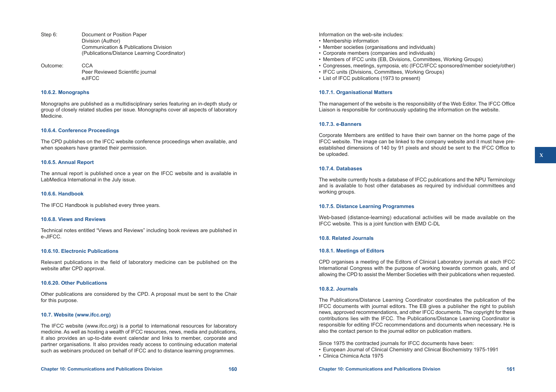- Step 6: Document or Position Paper Division (Author) Communication & Publications Division (Publications/Distance Learning Coordinator)
- Outcome: CCA Peer Reviewed Scientific journal eJIFCC

## **10.6.2. Monographs**

Monographs are published as a multidisciplinary series featuring an in-depth study or group of closely related studies per issue. Monographs cover all aspects of laboratory Medicine.

## **10.6.4. Conference Proceedings**

The CPD publishes on the IFCC website conference proceedings when available, and when speakers have granted their permission.

## **10.6.5. Annual Report**

The annual report is published once a year on the IFCC website and is available in LabMedica International in the July issue.

## **10.6.6. Handbook**

The IFCC Handbook is published every three years.

## **10.6.8. Views and Reviews**

Technical notes entitled "Views and Reviews" including book reviews are published in e-JIFCC.

## **10.6.10. Electronic Publications**

Relevant publications in the field of laboratory medicine can be published on the website after CPD approval.

#### **10.6.20. Other Publications**

Other publications are considered by the CPD. A proposal must be sent to the Chair for this purpose.

## **10.7. Website [\(www.ifcc.org\)](http://www.ifcc.org)**

The IFCC website (www.ifcc.org) is a portal to international resources for laboratory medicine. As well as hosting a wealth of IFCC resources, news, media and publications, it also provides an up-to-date event calendar and links to member, corporate and partner organisations. It also provides ready access to continuing education material such as webinars produced on behalf of IFCC and to distance learning programmes.

- Membership information
- Member societies (organisations and individuals)
- • Corporate members (companies and individuals)
- Members of IFCC units (EB, Divisions, Committees, Working Groups)
- • Congresses, meetings, symposia, etc (IFCC/IFCC sponsored/member society/other)
- IFCC units (Divisions, Committees, Working Groups)
- • List of IFCC publications (1973 to present)

## **10.7.1. Organisational Matters**

The management of the website is the responsibility of the Web Editor. The IFCC Office Liaison is responsible for continuously updating the information on the website.

## **10.7.3. e-Banners**

Corporate Members are entitled to have their own banner on the home page of the IFCC website. The image can be linked to the company website and it must have preestablished dimensions of 140 by 91 pixels and should be sent to the IFCC Office to be uploaded.

## **10.7.4. Databases**

The website currently hosts a database of IFCC publications and the NPU Terminology and is available to host other databases as required by individual committees and working groups.

## **10.7.5. Distance Learning Programmes**

Web-based (distance-learning) educational activities will be made available on the IFCC website. This is a joint function with EMD C-DL

## **10.8. Related Journals**

## **10.8.1. Meetings of Editors**

CPD organises a meeting of the Editors of Clinical Laboratory journals at each IFCC International Congress with the purpose of working towards common goals, and of allowing the CPD to assist the Member Societies with their publications when requested.

## **10.8.2. Journals**

The Publications/Distance Learning Coordinator coordinates the publication of the IFCC documents with journal editors. The EB gives a publisher the right to publish news, approved recommendations, and other IFCC documents. The copyright for these contributions lies with the IFCC. The Publications/Distance Learning Coordinator is responsible for editing IFCC recommendations and documents when necessary. He is also the contact person to the journal editor on publication matters.

Since 1975 the contracted journals for IFCC documents have been:

- • European Journal of Clinical Chemistry and Clinical Biochemistry 1975-1991
- • Clinica Chimica Acta 1975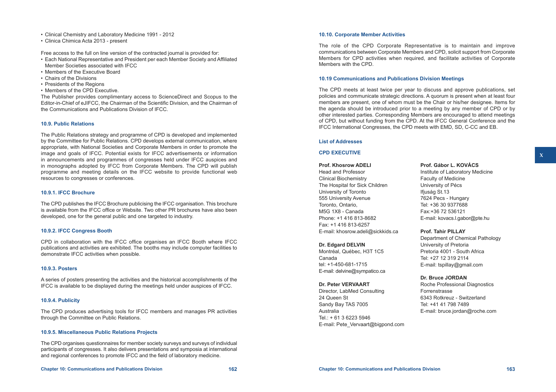- • Clinical Chemistry and Laboratory Medicine 1991 2012
- • Clinica Chimica Acta 2013 present

Free access to the full on line version of the contracted journal is provided for:

- • Each National Representative and President per each Member Society and Affiliated Member Societies associated with IFCC
- Members of the Executive Board
- Chairs of the Divisions
- Presidents of the Regions
- Members of the CPD Executive.

The Publisher provides complimentary access to ScienceDirect and Scopus to the Editor-in-Chief of eJIFCC, the Chairman of the Scientific Division, and the Chairman of the Communications and Publications Division of IFCC.

## **10.9. Public Relations**

The Public Relations strategy and programme of CPD is developed and implemented by the Committee for Public Relations. CPD develops external communication, where appropriate, with National Societies and Corporate Members in order to promote the image and goals of IFCC. Potential exists for IFCC advertisements or information in announcements and programmes of congresses held under IFCC auspices and in monographs adopted by IFCC from Corporate Members. The CPD will publish programme and meeting details on the IFCC website to provide functional web resources to congresses or conferences.

## **10.9.1. IFCC Brochure**

The CPD publishes the IFCC Brochure publicising the IFCC organisation. This brochure is available from the IFCC office or Website. Two other PR brochures have also been developed, one for the general public and one targeted to industry.

## **10.9.2. IFCC Congress Booth**

CPD in collaboration with the IFCC office organises an IFCC Booth where IFCC publications and activities are exhibited. The booths may include computer facilities to demonstrate IFCC activities when possible.

## **10.9.3. Posters**

A series of posters presenting the activities and the historical accomplishments of the IFCC is available to be displayed during the meetings held under auspices of IFCC.

## **10.9.4. Publicity**

The CPD produces advertising tools for IFCC members and manages PR activities through the Committee on Public Relations.

## **10.9.5. Miscellaneous Public Relations Projects**

The CPD organises questionnaires for member society surveys and surveys of individual participants of congresses. It also delivers presentations and symposia at international and regional conferences to promote IFCC and the field of laboratory medicine.

#### **Chapter 10: Communications and Publications Division 162 Chapter 10: Communications and Publications Division 163**

## **10.10. Corporate Member Activities**

The role of the CPD Corporate Representative is to maintain and improve communications between Corporate Members and CPD, solicit support from Corporate Members for CPD activities when required, and facilitate activities of Corporate Members with the CPD.

## **10.19 Communications and Publications Division Meetings**

The CPD meets at least twice per year to discuss and approve publications, set policies and communicate strategic directions. A quorum is present when at least four members are present, one of whom must be the Chair or his/her designee. Items for the agenda should be introduced prior to a meeting by any member of CPD or by other interested parties. Corresponding Members are encouraged to attend meetings of CPD, but without funding from the CPD. At the IFCC General Conference and the IFCC International Congresses, the CPD meets with EMD, SD, C-CC and EB.

## **List of Addresses**

## **CPD EXECUTIVE**

**Prof. Khosrow ADELI** Head and Professor Clinical Biochemistry The Hospital for Sick Children University of Toronto 555 University Avenue Toronto, Ontario, M5G 1X8 - Canada Phone: +1 416 813-8682 Fax: +1 416 813-6257 E-mail: [khosrow.adeli@sickkids.ca](mailto:khosrow.adeli@sickkids.ca)

#### **Dr. Edgard DELVIN**

Montréal, Québec, H3T 1C5 Canada tel: +1-450-681-1715 E-mail: [delvine@sympatico.ca](mailto:delvine@sympatico.ca)

#### **Dr. Peter VERVAART**

Director, LabMed Consulting 24 Queen St Sandy Bay TAS 7005 Australia Tel.: + 61 3 6223 5946 E-mail: Pete\_Vervaart@bigpond.com

# **Prof. Gábor L. KovÁcs**

Institute of Laboratory Medicine Faculty of Medicine University of Pécs Ifjuság St.13 7624 Pecs - Hungary Tel: +36 30 9377688 Fax:+36 72 536121 E-mail: [kovacs.l.gabor@pte.hu](mailto:kovacs.l.gabor@pte.hu)

**Prof. Tahir PILLAY** 

Department of Chemical Pathology University of Pretoria Pretoria 4001 - South Africa Tel: +27 12 319 2114 E-mail: [tspillay@gmail.com](mailto:tspillay@gmail.com)

## **Dr. Bruce JORDAN**

Roche Professional Diagnostics Forrenstrasse 6343 Rotkreuz - Switzerland Tel: +41 41 798 7489 E-mail: [bruce.jordan@roche.com](mailto:bruce.jordan@roche.com)  **X**